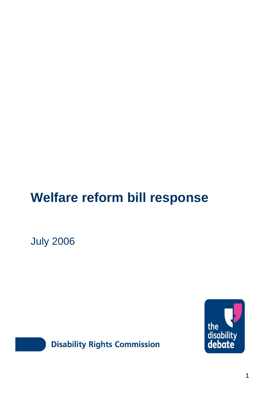# **Welfare reform bill response**

July 2006





**Disability Rights Commission**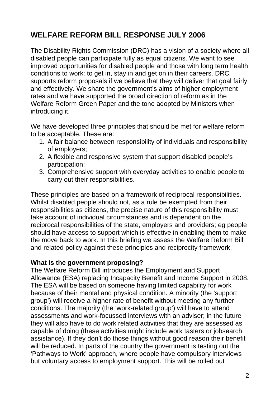# **WELFARE REFORM BILL RESPONSE JULY 2006**

The Disability Rights Commission (DRC) has a vision of a society where all disabled people can participate fully as equal citizens. We want to see improved opportunities for disabled people and those with long term health conditions to work: to get in, stay in and get on in their careers. DRC supports reform proposals if we believe that they will deliver that goal fairly and effectively. We share the government's aims of higher employment rates and we have supported the broad direction of reform as in the Welfare Reform Green Paper and the tone adopted by Ministers when introducing it.

We have developed three principles that should be met for welfare reform to be acceptable. These are:

- 1. A fair balance between responsibility of individuals and responsibility of employers;
- 2. A flexible and responsive system that support disabled people's participation;
- 3. Comprehensive support with everyday activities to enable people to carry out their responsibilities.

These principles are based on a framework of reciprocal responsibilities. Whilst disabled people should not, as a rule be exempted from their responsibilities as citizens, the precise nature of this responsibility must take account of individual circumstances and is dependent on the reciprocal responsibilities of the state, employers and providers; eg people should have access to support which is effective in enabling them to make the move back to work. In this briefing we assess the Welfare Reform Bill and related policy against these principles and reciprocity framework.

#### **What is the government proposing?**

The Welfare Reform Bill introduces the Employment and Support Allowance (ESA) replacing Incapacity Benefit and Income Support in 2008. The ESA will be based on someone having limited capability for work because of their mental and physical condition. A minority (the 'support group') will receive a higher rate of benefit without meeting any further conditions. The majority (the 'work-related group') will have to attend assessments and work-focussed interviews with an adviser; in the future they will also have to do work related activities that they are assessed as capable of doing (these activities might include work tasters or jobsearch assistance). If they don't do those things without good reason their benefit will be reduced. In parts of the country the government is testing out the 'Pathways to Work' approach, where people have compulsory interviews but voluntary access to employment support. This will be rolled out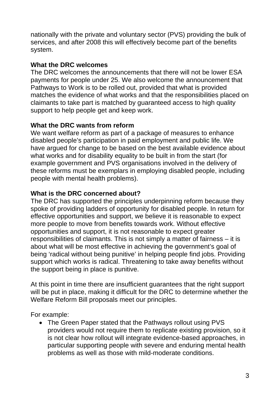nationally with the private and voluntary sector (PVS) providing the bulk of services, and after 2008 this will effectively become part of the benefits system.

#### **What the DRC welcomes**

The DRC welcomes the announcements that there will not be lower ESA payments for people under 25. We also welcome the announcement that Pathways to Work is to be rolled out, provided that what is provided matches the evidence of what works and that the responsibilities placed on claimants to take part is matched by guaranteed access to high quality support to help people get and keep work.

## **What the DRC wants from reform**

We want welfare reform as part of a package of measures to enhance disabled people's participation in paid employment and public life. We have argued for change to be based on the best available evidence about what works and for disability equality to be built in from the start (for example government and PVS organisations involved in the delivery of these reforms must be exemplars in employing disabled people, including people with mental health problems).

## **What is the DRC concerned about?**

The DRC has supported the principles underpinning reform because they spoke of providing ladders of opportunity for disabled people. In return for effective opportunities and support, we believe it is reasonable to expect more people to move from benefits towards work. Without effective opportunities and support, it is not reasonable to expect greater responsibilities of claimants. This is not simply a matter of fairness – it is about what will be most effective in achieving the government's goal of being 'radical without being punitive' in helping people find jobs. Providing support which works is radical. Threatening to take away benefits without the support being in place is punitive.

At this point in time there are insufficient guarantees that the right support will be put in place, making it difficult for the DRC to determine whether the Welfare Reform Bill proposals meet our principles.

For example:

• The Green Paper stated that the Pathways rollout using PVS providers would not require them to replicate existing provision, so it is not clear how rollout will integrate evidence-based approaches, in particular supporting people with severe and enduring mental health problems as well as those with mild-moderate conditions.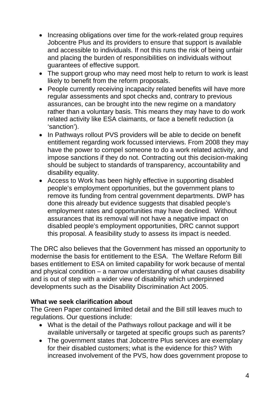- Increasing obligations over time for the work-related group requires Jobcentre Plus and its providers to ensure that support is available and accessible to individuals. If not this runs the risk of being unfair and placing the burden of responsibilities on individuals without guarantees of effective support.
- The support group who may need most help to return to work is least likely to benefit from the reform proposals.
- People currently receiving incapacity related benefits will have more regular assessments and spot checks and, contrary to previous assurances, can be brought into the new regime on a mandatory rather than a voluntary basis. This means they may have to do work related activity like ESA claimants, or face a benefit reduction (a 'sanction').
- In Pathways rollout PVS providers will be able to decide on benefit entitlement regarding work focussed interviews. From 2008 they may have the power to compel someone to do a work related activity, and impose sanctions if they do not. Contracting out this decision-making should be subject to standards of transparency, accountability and disability equality.
- Access to Work has been highly effective in supporting disabled people's employment opportunities, but the government plans to remove its funding from central government departments. DWP has done this already but evidence suggests that disabled people's employment rates and opportunities may have declined. Without assurances that its removal will not have a negative impact on disabled people's employment opportunities, DRC cannot support this proposal. A feasibility study to assess its impact is needed.

The DRC also believes that the Government has missed an opportunity to modernise the basis for entitlement to the ESA. The Welfare Reform Bill bases entitlement to ESA on limited capability for work because of mental and physical condition – a narrow understanding of what causes disability and is out of step with a wider view of disability which underpinned developments such as the Disability Discrimination Act 2005.

#### **What we seek clarification about**

The Green Paper contained limited detail and the Bill still leaves much to regulations. Our questions include:

- What is the detail of the Pathways rollout package and will it be available universally or targeted at specific groups such as parents?
- The government states that Jobcentre Plus services are exemplary for their disabled customers; what is the evidence for this? With increased involvement of the PVS, how does government propose to